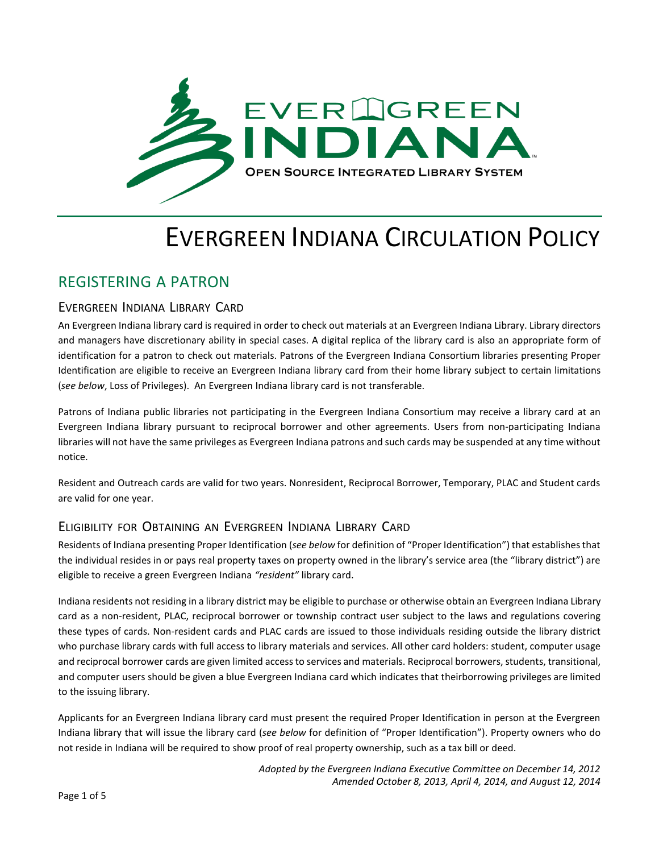

# EVERGREEN INDIANA CIRCULATION POLICY

# REGISTERING A PATRON

### EVERGREEN INDIANA LIBRARY CARD

An Evergreen Indiana library card is required in order to check out materials at an Evergreen Indiana Library. Library directors and managers have discretionary ability in special cases. A digital replica of the library card is also an appropriate form of identification for a patron to check out materials. Patrons of the Evergreen Indiana Consortium libraries presenting Proper Identification are eligible to receive an Evergreen Indiana library card from their home library subject to certain limitations (*see below*, Loss of Privileges). An Evergreen Indiana library card is not transferable.

Patrons of Indiana public libraries not participating in the Evergreen Indiana Consortium may receive a library card at an Evergreen Indiana library pursuant to reciprocal borrower and other agreements. Users from non-participating Indiana libraries will not have the same privileges as Evergreen Indiana patrons and such cards may be suspended at any time without notice.

Resident and Outreach cards are valid for two years. Nonresident, Reciprocal Borrower, Temporary, PLAC and Student cards are valid for one year.

### ELIGIBILITY FOR OBTAINING AN EVERGREEN INDIANA LIBRARY CARD

Residents of Indiana presenting Proper Identification (*see below* for definition of "Proper Identification") that establishesthat the individual resides in or pays real property taxes on property owned in the library's service area (the "library district") are eligible to receive a green Evergreen Indiana *"resident"* library card.

Indiana residents not residing in a library district may be eligible to purchase or otherwise obtain an Evergreen Indiana Library card as a non-resident, PLAC, reciprocal borrower or township contract user subject to the laws and regulations covering these types of cards. Non-resident cards and PLAC cards are issued to those individuals residing outside the library district who purchase library cards with full access to library materials and services. All other card holders: student, computer usage and reciprocal borrower cards are given limited access to services and materials. Reciprocal borrowers, students, transitional, and computer users should be given a blue Evergreen Indiana card which indicates that theirborrowing privileges are limited to the issuing library.

Applicants for an Evergreen Indiana library card must present the required Proper Identification in person at the Evergreen Indiana library that will issue the library card (*see below* for definition of "Proper Identification"). Property owners who do not reside in Indiana will be required to show proof of real property ownership, such as a tax bill or deed.

> *Adopted by the Evergreen Indiana Executive Committee on December 14, 2012 Amended October 8, 2013, April 4, 2014, and August 12, 2014*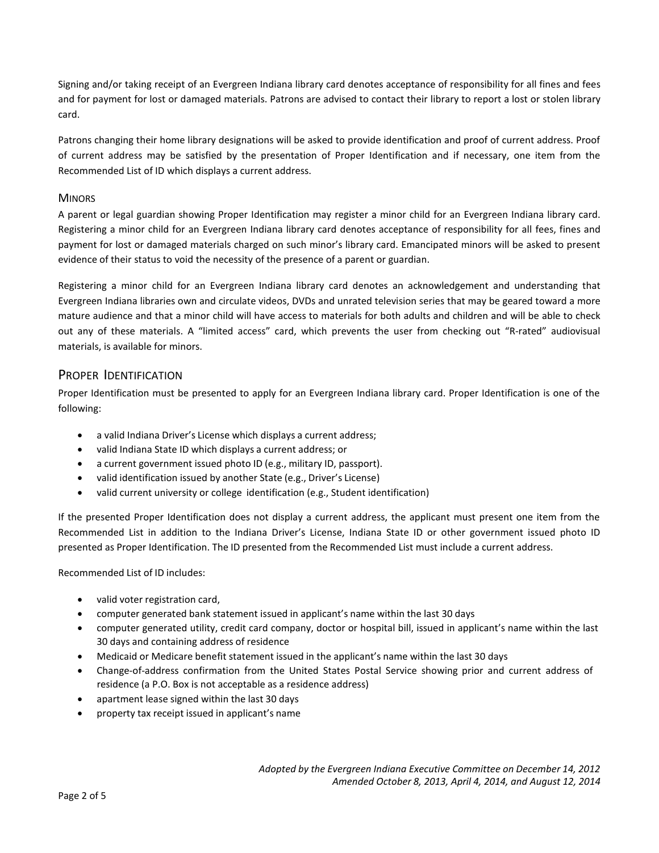Signing and/or taking receipt of an Evergreen Indiana library card denotes acceptance of responsibility for all fines and fees and for payment for lost or damaged materials. Patrons are advised to contact their library to report a lost or stolen library card.

Patrons changing their home library designations will be asked to provide identification and proof of current address. Proof of current address may be satisfied by the presentation of Proper Identification and if necessary, one item from the Recommended List of ID which displays a current address.

#### **MINORS**

A parent or legal guardian showing Proper Identification may register a minor child for an Evergreen Indiana library card. Registering a minor child for an Evergreen Indiana library card denotes acceptance of responsibility for all fees, fines and payment for lost or damaged materials charged on such minor's library card. Emancipated minors will be asked to present evidence of their status to void the necessity of the presence of a parent or guardian.

Registering a minor child for an Evergreen Indiana library card denotes an acknowledgement and understanding that Evergreen Indiana libraries own and circulate videos, DVDs and unrated television series that may be geared toward a more mature audience and that a minor child will have access to materials for both adults and children and will be able to check out any of these materials. A "limited access" card, which prevents the user from checking out "R-rated" audiovisual materials, is available for minors.

#### PROPER IDENTIFICATION

Proper Identification must be presented to apply for an Evergreen Indiana library card. Proper Identification is one of the following:

- a valid Indiana Driver's License which displays a current address;
- valid Indiana State ID which displays a current address; or
- a current government issued photo ID (e.g., military ID, passport).
- valid identification issued by another State (e.g., Driver's License)
- valid current university or college identification (e.g., Student identification)

If the presented Proper Identification does not display a current address, the applicant must present one item from the Recommended List in addition to the Indiana Driver's License, Indiana State ID or other government issued photo ID presented as Proper Identification. The ID presented from the Recommended List must include a current address.

Recommended List of ID includes:

- valid voter registration card,
- computer generated bank statement issued in applicant's name within the last 30 days
- computer generated utility, credit card company, doctor or hospital bill, issued in applicant's name within the last 30 days and containing address of residence
- Medicaid or Medicare benefit statement issued in the applicant's name within the last 30 days
- Change-of-address confirmation from the United States Postal Service showing prior and current address of residence (a P.O. Box is not acceptable as a residence address)
- apartment lease signed within the last 30 days
- property tax receipt issued in applicant's name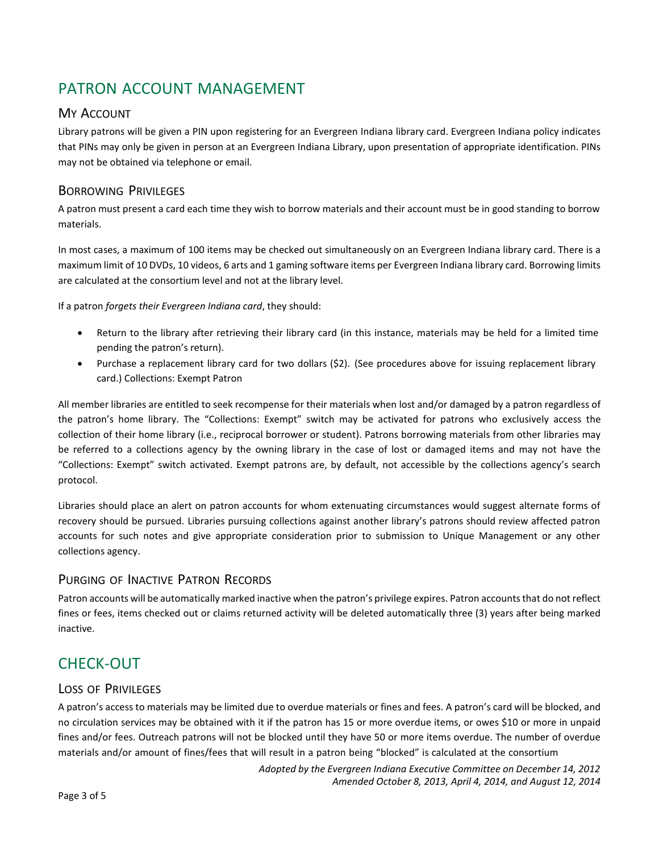# PATRON ACCOUNT MANAGEMENT

### MY ACCOUNT

Library patrons will be given a PIN upon registering for an Evergreen Indiana library card. Evergreen Indiana policy indicates that PINs may only be given in person at an Evergreen Indiana Library, upon presentation of appropriate identification. PINs may not be obtained via telephone or email.

### BORROWING PRIVILEGES

A patron must present a card each time they wish to borrow materials and their account must be in good standing to borrow materials.

In most cases, a maximum of 100 items may be checked out simultaneously on an Evergreen Indiana library card. There is a maximum limit of 10 DVDs, 10 videos, 6 arts and 1 gaming software items per Evergreen Indiana library card. Borrowing limits are calculated at the consortium level and not at the library level.

If a patron *forgets their Evergreen Indiana card*, they should:

- Return to the library after retrieving their library card (in this instance, materials may be held for a limited time pending the patron's return).
- Purchase a replacement library card for two dollars (\$2). (See procedures above for issuing replacement library card.) Collections: Exempt Patron

All member libraries are entitled to seek recompense for their materials when lost and/or damaged by a patron regardless of the patron's home library. The "Collections: Exempt" switch may be activated for patrons who exclusively access the collection of their home library (i.e., reciprocal borrower or student). Patrons borrowing materials from other libraries may be referred to a collections agency by the owning library in the case of lost or damaged items and may not have the "Collections: Exempt" switch activated. Exempt patrons are, by default, not accessible by the collections agency's search protocol.

Libraries should place an alert on patron accounts for whom extenuating circumstances would suggest alternate forms of recovery should be pursued. Libraries pursuing collections against another library's patrons should review affected patron accounts for such notes and give appropriate consideration prior to submission to Unique Management or any other collections agency.

### PURGING OF INACTIVE PATRON RECORDS

Patron accounts will be automatically marked inactive when the patron's privilege expires. Patron accounts that do not reflect fines or fees, items checked out or claims returned activity will be deleted automatically three (3) years after being marked inactive.

# CHECK-OUT

### LOSS OF PRIVILEGES

A patron's access to materials may be limited due to overdue materials or fines and fees. A patron's card will be blocked, and no circulation services may be obtained with it if the patron has 15 or more overdue items, or owes \$10 or more in unpaid fines and/or fees. Outreach patrons will not be blocked until they have 50 or more items overdue. The number of overdue materials and/or amount of fines/fees that will result in a patron being "blocked" is calculated at the consortium

> *Adopted by the Evergreen Indiana Executive Committee on December 14, 2012 Amended October 8, 2013, April 4, 2014, and August 12, 2014*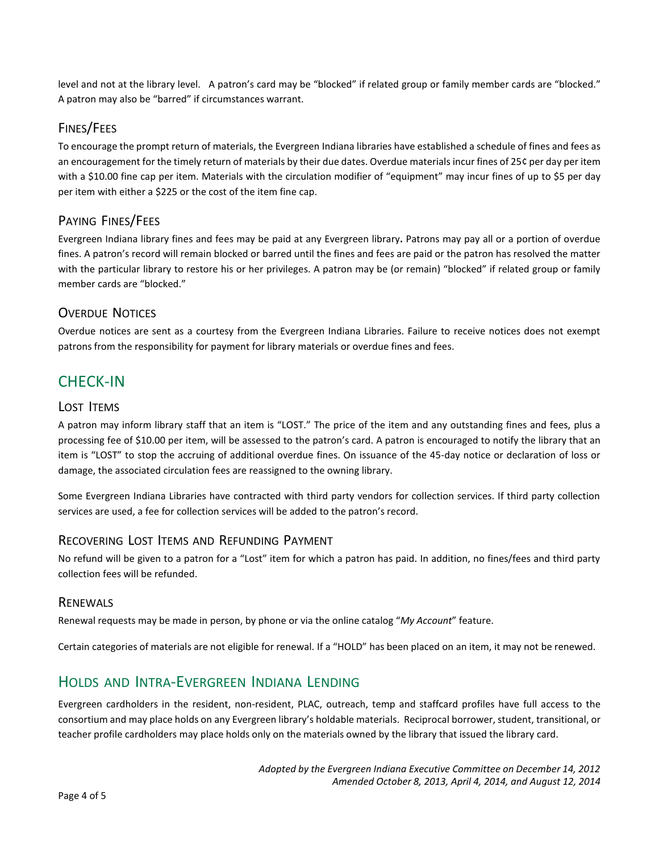level and not at the library level. A patron's card may be "blocked" if related group or family member cards are "blocked." A patron may also be "barred" if circumstances warrant.

### FINES/FEES

To encourage the prompt return of materials, the Evergreen Indiana libraries have established a schedule of fines and fees as an encouragement for the timely return of materials by their due dates. Overdue materials incur fines of 25¢ per day per item with a \$10.00 fine cap per item. Materials with the circulation modifier of "equipment" may incur fines of up to \$5 per day per item with either a \$225 or the cost of the item fine cap.

## PAYING FINES/FEES

Evergreen Indiana library fines and fees may be paid at any Evergreen library**.** Patrons may pay all or a portion of overdue fines. A patron's record will remain blocked or barred until the fines and fees are paid or the patron has resolved the matter with the particular library to restore his or her privileges. A patron may be (or remain) "blocked" if related group or family member cards are "blocked."

## OVERDUE NOTICES

Overdue notices are sent as a courtesy from the Evergreen Indiana Libraries. Failure to receive notices does not exempt patrons from the responsibility for payment for library materials or overdue fines and fees.

# CHECK-IN

#### LOST ITEMS

A patron may inform library staff that an item is "LOST." The price of the item and any outstanding fines and fees, plus a processing fee of \$10.00 per item, will be assessed to the patron's card. A patron is encouraged to notify the library that an item is "LOST" to stop the accruing of additional overdue fines. On issuance of the 45-day notice or declaration of loss or damage, the associated circulation fees are reassigned to the owning library.

Some Evergreen Indiana Libraries have contracted with third party vendors for collection services. If third party collection services are used, a fee for collection services will be added to the patron's record.

### RECOVERING LOST ITEMS AND REFUNDING PAYMENT

No refund will be given to a patron for a "Lost" item for which a patron has paid. In addition, no fines/fees and third party collection fees will be refunded.

#### RENEWALS

Renewal requests may be made in person, by phone or via the online catalog "*My Account*" feature.

Certain categories of materials are not eligible for renewal. If a "HOLD" has been placed on an item, it may not be renewed.

# HOLDS AND INTRA-EVERGREEN INDIANA LENDING

Evergreen cardholders in the resident, non-resident, PLAC, outreach, temp and staffcard profiles have full access to the consortium and may place holds on any Evergreen library's holdable materials. Reciprocal borrower, student, transitional, or teacher profile cardholders may place holds only on the materials owned by the library that issued the library card.